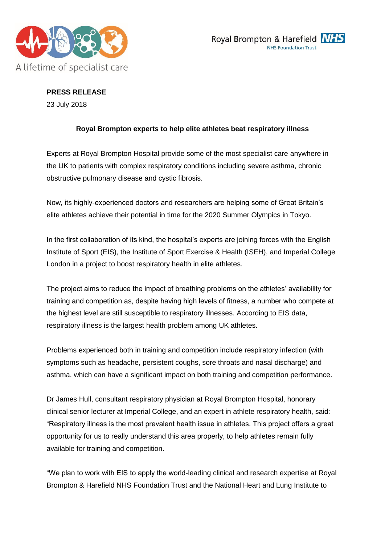



**PRESS RELEASE** 23 July 2018

# **Royal Brompton experts to help elite athletes beat respiratory illness**

Experts at Royal Brompton Hospital provide some of the most specialist care anywhere in the UK to patients with complex respiratory conditions including severe asthma, chronic obstructive pulmonary disease and cystic fibrosis.

Now, its highly-experienced doctors and researchers are helping some of Great Britain's elite athletes achieve their potential in time for the 2020 Summer Olympics in Tokyo.

In the first collaboration of its kind, the hospital's experts are joining forces with the English Institute of Sport (EIS), the Institute of Sport Exercise & Health (ISEH), and Imperial College London in a project to boost respiratory health in elite athletes.

The project aims to reduce the impact of breathing problems on the athletes' availability for training and competition as, despite having high levels of fitness, a number who compete at the highest level are still susceptible to respiratory illnesses. According to EIS data, respiratory illness is the largest health problem among UK athletes.

Problems experienced both in training and competition include respiratory infection (with symptoms such as headache, persistent coughs, sore throats and nasal discharge) and asthma, which can have a significant impact on both training and competition performance.

Dr James Hull, consultant respiratory physician at Royal Brompton Hospital, honorary clinical senior lecturer at Imperial College, and an expert in athlete respiratory health, said: "Respiratory illness is the most prevalent health issue in athletes. This project offers a great opportunity for us to really understand this area properly, to help athletes remain fully available for training and competition.

"We plan to work with EIS to apply the world-leading clinical and research expertise at Royal Brompton & Harefield NHS Foundation Trust and the National Heart and Lung Institute to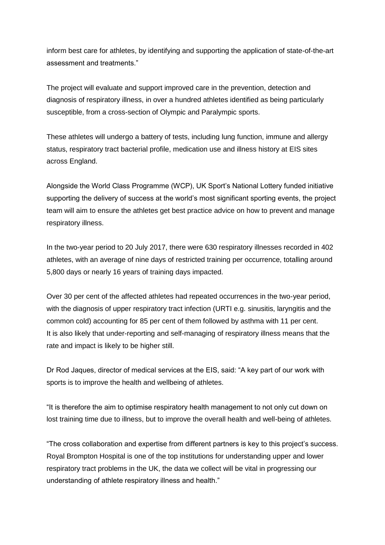inform best care for athletes, by identifying and supporting the application of state-of-the-art assessment and treatments."

The project will evaluate and support improved care in the prevention, detection and diagnosis of respiratory illness, in over a hundred athletes identified as being particularly susceptible, from a cross-section of Olympic and Paralympic sports.

These athletes will undergo a battery of tests, including lung function, immune and allergy status, respiratory tract bacterial profile, medication use and illness history at EIS sites across England.

Alongside the World Class Programme (WCP), UK Sport's National Lottery funded initiative supporting the delivery of success at the world's most significant sporting events, the project team will aim to ensure the athletes get best practice advice on how to prevent and manage respiratory illness.

In the two-year period to 20 July 2017, there were 630 respiratory illnesses recorded in 402 athletes, with an average of nine days of restricted training per occurrence, totalling around 5,800 days or nearly 16 years of training days impacted.

Over 30 per cent of the affected athletes had repeated occurrences in the two-year period, with the diagnosis of upper respiratory tract infection (URTI e.g. sinusitis, laryngitis and the common cold) accounting for 85 per cent of them followed by asthma with 11 per cent. It is also likely that under-reporting and self-managing of respiratory illness means that the rate and impact is likely to be higher still.

Dr Rod Jaques, director of medical services at the EIS, said: "A key part of our work with sports is to improve the health and wellbeing of athletes.

"It is therefore the aim to optimise respiratory health management to not only cut down on lost training time due to illness, but to improve the overall health and well-being of athletes.

"The cross collaboration and expertise from different partners is key to this project's success. Royal Brompton Hospital is one of the top institutions for understanding upper and lower respiratory tract problems in the UK, the data we collect will be vital in progressing our understanding of athlete respiratory illness and health."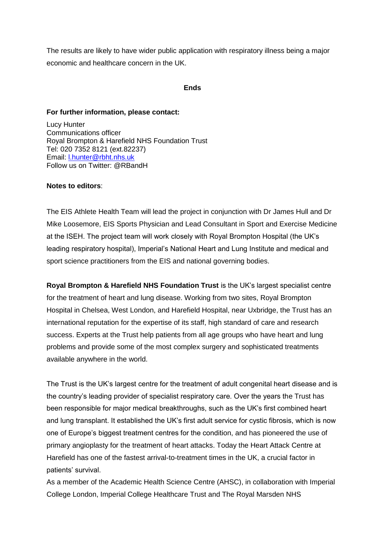The results are likely to have wider public application with respiratory illness being a major economic and healthcare concern in the UK.

#### **Ends**

#### **For further information, please contact:**

Lucy Hunter Communications officer Royal Brompton & Harefield NHS Foundation Trust Tel: 020 7352 8121 (ext.82237) Email: [l.hunter@rbht.nhs.uk](mailto:l.hunter@rbht.nhs.uk) Follow us on Twitter: @RBandH

### **Notes to editors**:

The EIS Athlete Health Team will lead the project in conjunction with Dr James Hull and Dr Mike Loosemore, EIS Sports Physician and Lead Consultant in Sport and Exercise Medicine at the ISEH. The project team will work closely with Royal Brompton Hospital (the UK's leading respiratory hospital), Imperial's National Heart and Lung Institute and medical and sport science practitioners from the EIS and national governing bodies.

**Royal Brompton & Harefield NHS Foundation Trust** is the UK's largest specialist centre for the treatment of heart and lung disease. Working from two sites, Royal Brompton Hospital in Chelsea, West London, and Harefield Hospital, near Uxbridge, the Trust has an international reputation for the expertise of its staff, high standard of care and research success. Experts at the Trust help patients from all age groups who have heart and lung problems and provide some of the most complex surgery and sophisticated treatments available anywhere in the world.

The Trust is the UK's largest centre for the treatment of adult congenital heart disease and is the country's leading provider of specialist respiratory care. Over the years the Trust has been responsible for major medical breakthroughs, such as the UK's first combined heart and lung transplant. It established the UK's first adult service for cystic fibrosis, which is now one of Europe's biggest treatment centres for the condition, and has pioneered the use of primary angioplasty for the treatment of heart attacks. Today the Heart Attack Centre at Harefield has one of the fastest arrival-to-treatment times in the UK, a crucial factor in patients' survival.

As a member of the Academic Health Science Centre (AHSC), in collaboration with Imperial College London, Imperial College Healthcare Trust and The Royal Marsden NHS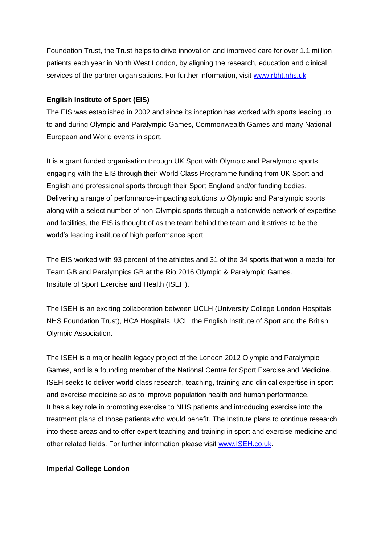Foundation Trust, the Trust helps to drive innovation and improved care for over 1.1 million patients each year in North West London, by aligning the research, education and clinical services of the partner organisations. For further information, visit [www.rbht.nhs.uk](http://www.rbht.nhs.uk/)

## **English Institute of Sport (EIS)**

The EIS was established in 2002 and since its inception has worked with sports leading up to and during Olympic and Paralympic Games, Commonwealth Games and many National, European and World events in sport.

It is a grant funded organisation through UK Sport with Olympic and Paralympic sports engaging with the EIS through their World Class Programme funding from UK Sport and English and professional sports through their Sport England and/or funding bodies. Delivering a range of performance-impacting solutions to Olympic and Paralympic sports along with a select number of non-Olympic sports through a nationwide network of expertise and facilities, the EIS is thought of as the team behind the team and it strives to be the world's leading institute of high performance sport.

The EIS worked with 93 percent of the athletes and 31 of the 34 sports that won a medal for Team GB and Paralympics GB at the Rio 2016 Olympic & Paralympic Games. Institute of Sport Exercise and Health (ISEH).

The ISEH is an exciting collaboration between UCLH (University College London Hospitals NHS Foundation Trust), HCA Hospitals, UCL, the English Institute of Sport and the British Olympic Association.

The ISEH is a major health legacy project of the London 2012 Olympic and Paralympic Games, and is a founding member of the National Centre for Sport Exercise and Medicine. ISEH seeks to deliver world-class research, teaching, training and clinical expertise in sport and exercise medicine so as to improve population health and human performance. It has a key role in promoting exercise to NHS patients and introducing exercise into the treatment plans of those patients who would benefit. The Institute plans to continue research into these areas and to offer expert teaching and training in sport and exercise medicine and other related fields. For further information please visit [www.ISEH.co.uk.](http://www.iseh.co.uk/)

### **Imperial College London**